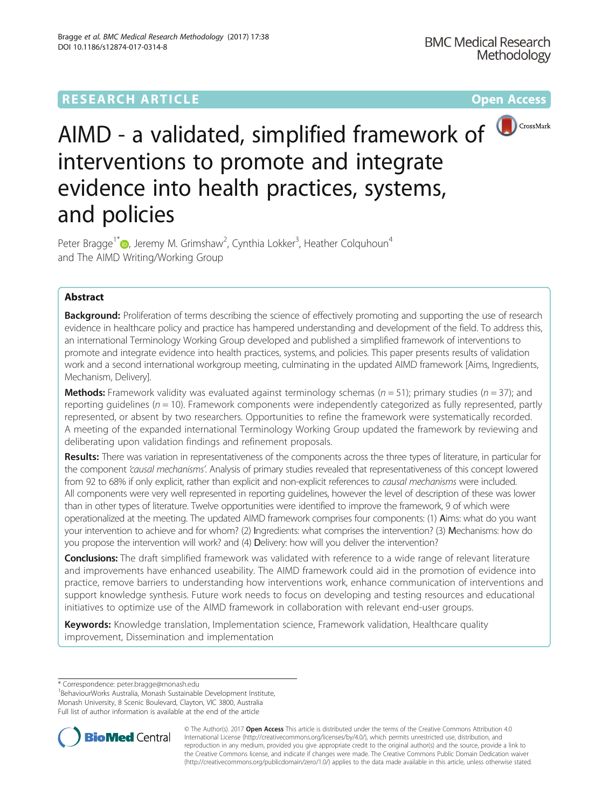

# AIMD - a validated, simplified framework of interventions to promote and integrate evidence into health practices, systems, and policies

Peter Bragge<sup>1[\\*](http://orcid.org/0000-0003-0745-5131)</sup>®, Jeremy M. Grimshaw<sup>2</sup>, Cynthia Lokker<sup>3</sup>, Heather Colquhoun<sup>4</sup> and The AIMD Writing/Working Group

# Abstract

Background: Proliferation of terms describing the science of effectively promoting and supporting the use of research evidence in healthcare policy and practice has hampered understanding and development of the field. To address this, an international Terminology Working Group developed and published a simplified framework of interventions to promote and integrate evidence into health practices, systems, and policies. This paper presents results of validation work and a second international workgroup meeting, culminating in the updated AIMD framework [Aims, Ingredients, Mechanism, Delivery].

**Methods:** Framework validity was evaluated against terminology schemas ( $n = 51$ ); primary studies ( $n = 37$ ); and reporting guidelines ( $n = 10$ ). Framework components were independently categorized as fully represented, partly represented, or absent by two researchers. Opportunities to refine the framework were systematically recorded. A meeting of the expanded international Terminology Working Group updated the framework by reviewing and deliberating upon validation findings and refinement proposals.

Results: There was variation in representativeness of the components across the three types of literature, in particular for the component 'causal mechanisms'. Analysis of primary studies revealed that representativeness of this concept lowered from 92 to 68% if only explicit, rather than explicit and non-explicit references to causal mechanisms were included. All components were very well represented in reporting guidelines, however the level of description of these was lower than in other types of literature. Twelve opportunities were identified to improve the framework, 9 of which were operationalized at the meeting. The updated AIMD framework comprises four components: (1) Aims: what do you want your intervention to achieve and for whom? (2) Ingredients: what comprises the intervention? (3) Mechanisms: how do you propose the intervention will work? and (4) Delivery: how will you deliver the intervention?

Conclusions: The draft simplified framework was validated with reference to a wide range of relevant literature and improvements have enhanced useability. The AIMD framework could aid in the promotion of evidence into practice, remove barriers to understanding how interventions work, enhance communication of interventions and support knowledge synthesis. Future work needs to focus on developing and testing resources and educational initiatives to optimize use of the AIMD framework in collaboration with relevant end-user groups.

Keywords: Knowledge translation, Implementation science, Framework validation, Healthcare quality improvement, Dissemination and implementation

<sup>1</sup>BehaviourWorks Australia, Monash Sustainable Development Institute, Monash University, 8 Scenic Boulevard, Clayton, VIC 3800, Australia Full list of author information is available at the end of the article



© The Author(s). 2017 **Open Access** This article is distributed under the terms of the Creative Commons Attribution 4.0 International License [\(http://creativecommons.org/licenses/by/4.0/](http://creativecommons.org/licenses/by/4.0/)), which permits unrestricted use, distribution, and reproduction in any medium, provided you give appropriate credit to the original author(s) and the source, provide a link to the Creative Commons license, and indicate if changes were made. The Creative Commons Public Domain Dedication waiver [\(http://creativecommons.org/publicdomain/zero/1.0/](http://creativecommons.org/publicdomain/zero/1.0/)) applies to the data made available in this article, unless otherwise stated.

<sup>\*</sup> Correspondence: [peter.bragge@monash.edu](mailto:peter.bragge@monash.edu) <sup>1</sup>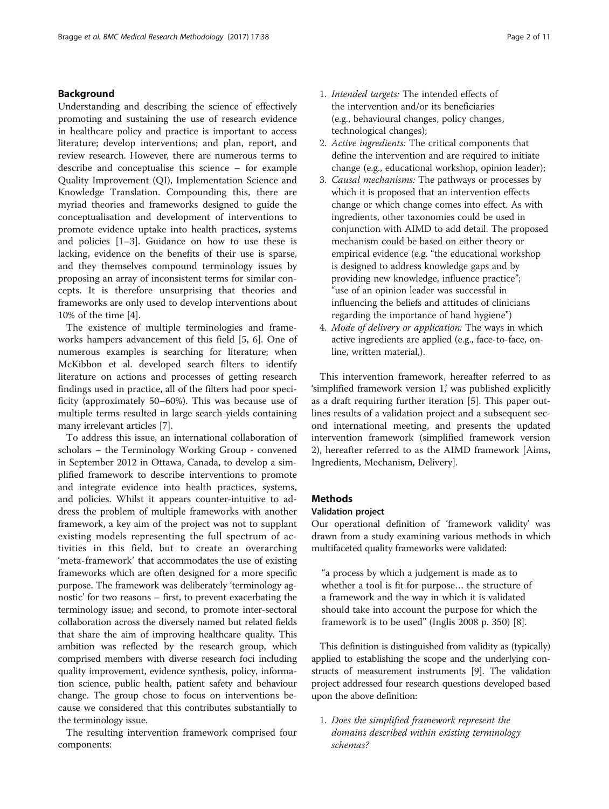## Background

Understanding and describing the science of effectively promoting and sustaining the use of research evidence in healthcare policy and practice is important to access literature; develop interventions; and plan, report, and review research. However, there are numerous terms to describe and conceptualise this science – for example Quality Improvement (QI), Implementation Science and Knowledge Translation. Compounding this, there are myriad theories and frameworks designed to guide the conceptualisation and development of interventions to promote evidence uptake into health practices, systems and policies  $[1-3]$  $[1-3]$  $[1-3]$ . Guidance on how to use these is lacking, evidence on the benefits of their use is sparse, and they themselves compound terminology issues by proposing an array of inconsistent terms for similar concepts. It is therefore unsurprising that theories and frameworks are only used to develop interventions about 10% of the time [\[4](#page-9-0)].

The existence of multiple terminologies and frameworks hampers advancement of this field [\[5](#page-9-0), [6](#page-9-0)]. One of numerous examples is searching for literature; when McKibbon et al. developed search filters to identify literature on actions and processes of getting research findings used in practice, all of the filters had poor specificity (approximately 50–60%). This was because use of multiple terms resulted in large search yields containing many irrelevant articles [[7\]](#page-9-0).

To address this issue, an international collaboration of scholars – the Terminology Working Group - convened in September 2012 in Ottawa, Canada, to develop a simplified framework to describe interventions to promote and integrate evidence into health practices, systems, and policies. Whilst it appears counter-intuitive to address the problem of multiple frameworks with another framework, a key aim of the project was not to supplant existing models representing the full spectrum of activities in this field, but to create an overarching 'meta-framework' that accommodates the use of existing frameworks which are often designed for a more specific purpose. The framework was deliberately 'terminology agnostic' for two reasons – first, to prevent exacerbating the terminology issue; and second, to promote inter-sectoral collaboration across the diversely named but related fields that share the aim of improving healthcare quality. This ambition was reflected by the research group, which comprised members with diverse research foci including quality improvement, evidence synthesis, policy, information science, public health, patient safety and behaviour change. The group chose to focus on interventions because we considered that this contributes substantially to the terminology issue.

The resulting intervention framework comprised four components:

- 1. Intended targets: The intended effects of the intervention and/or its beneficiaries (e.g., behavioural changes, policy changes, technological changes);
- 2. Active ingredients: The critical components that define the intervention and are required to initiate change (e.g., educational workshop, opinion leader);
- 3. Causal mechanisms: The pathways or processes by which it is proposed that an intervention effects change or which change comes into effect. As with ingredients, other taxonomies could be used in conjunction with AIMD to add detail. The proposed mechanism could be based on either theory or empirical evidence (e.g. "the educational workshop is designed to address knowledge gaps and by providing new knowledge, influence practice"; "use of an opinion leader was successful in influencing the beliefs and attitudes of clinicians regarding the importance of hand hygiene")
- 4. Mode of delivery or application: The ways in which active ingredients are applied (e.g., face-to-face, online, written material,).

This intervention framework, hereafter referred to as 'simplified framework version 1,' was published explicitly as a draft requiring further iteration [\[5](#page-9-0)]. This paper outlines results of a validation project and a subsequent second international meeting, and presents the updated intervention framework (simplified framework version 2), hereafter referred to as the AIMD framework [Aims, Ingredients, Mechanism, Delivery].

## **Methods**

## Validation project

Our operational definition of 'framework validity' was drawn from a study examining various methods in which multifaceted quality frameworks were validated:

"a process by which a judgement is made as to whether a tool is fit for purpose… the structure of a framework and the way in which it is validated should take into account the purpose for which the framework is to be used" (Inglis 2008 p. 350) [\[8](#page-9-0)].

This definition is distinguished from validity as (typically) applied to establishing the scope and the underlying constructs of measurement instruments [\[9\]](#page-9-0). The validation project addressed four research questions developed based upon the above definition:

1. Does the simplified framework represent the domains described within existing terminology schemas?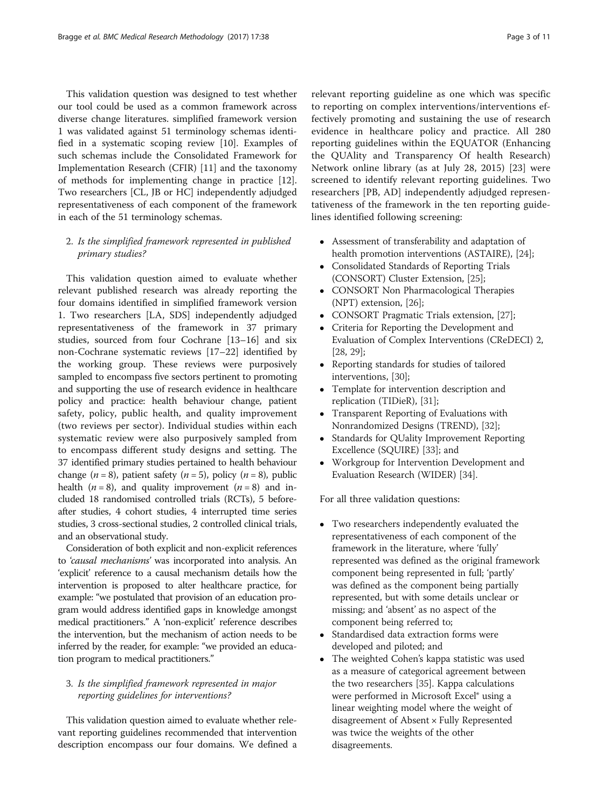This validation question was designed to test whether our tool could be used as a common framework across diverse change literatures. simplified framework version 1 was validated against 51 terminology schemas identified in a systematic scoping review [\[10](#page-9-0)]. Examples of such schemas include the Consolidated Framework for Implementation Research (CFIR) [\[11\]](#page-9-0) and the taxonomy of methods for implementing change in practice [\[12](#page-9-0)]. Two researchers [CL, JB or HC] independently adjudged representativeness of each component of the framework in each of the 51 terminology schemas.

# 2. Is the simplified framework represented in published primary studies?

This validation question aimed to evaluate whether relevant published research was already reporting the four domains identified in simplified framework version 1. Two researchers [LA, SDS] independently adjudged representativeness of the framework in 37 primary studies, sourced from four Cochrane [\[13](#page-9-0)–[16\]](#page-9-0) and six non-Cochrane systematic reviews [[17](#page-9-0)–[22](#page-9-0)] identified by the working group. These reviews were purposively sampled to encompass five sectors pertinent to promoting and supporting the use of research evidence in healthcare policy and practice: health behaviour change, patient safety, policy, public health, and quality improvement (two reviews per sector). Individual studies within each systematic review were also purposively sampled from to encompass different study designs and setting. The 37 identified primary studies pertained to health behaviour change ( $n = 8$ ), patient safety ( $n = 5$ ), policy ( $n = 8$ ), public health  $(n = 8)$ , and quality improvement  $(n = 8)$  and included 18 randomised controlled trials (RCTs), 5 beforeafter studies, 4 cohort studies, 4 interrupted time series studies, 3 cross-sectional studies, 2 controlled clinical trials, and an observational study.

Consideration of both explicit and non-explicit references to 'causal mechanisms' was incorporated into analysis. An 'explicit' reference to a causal mechanism details how the intervention is proposed to alter healthcare practice, for example: "we postulated that provision of an education program would address identified gaps in knowledge amongst medical practitioners." A 'non-explicit' reference describes the intervention, but the mechanism of action needs to be inferred by the reader, for example: "we provided an education program to medical practitioners."

# 3. Is the simplified framework represented in major reporting guidelines for interventions?

This validation question aimed to evaluate whether relevant reporting guidelines recommended that intervention description encompass our four domains. We defined a

relevant reporting guideline as one which was specific to reporting on complex interventions/interventions effectively promoting and sustaining the use of research evidence in healthcare policy and practice. All 280 reporting guidelines within the EQUATOR (Enhancing the QUAlity and Transparency Of health Research) Network online library (as at July 28, 2015) [[23\]](#page-9-0) were screened to identify relevant reporting guidelines. Two researchers [PB, AD] independently adjudged representativeness of the framework in the ten reporting guidelines identified following screening:

- Assessment of transferability and adaptation of health promotion interventions (ASTAIRE), [[24](#page-9-0)];
- Consolidated Standards of Reporting Trials (CONSORT) Cluster Extension, [\[25\]](#page-9-0);
- CONSORT Non Pharmacological Therapies (NPT) extension, [[26](#page-9-0)];
- CONSORT Pragmatic Trials extension, [\[27\]](#page-9-0);
- Criteria for Reporting the Development and Evaluation of Complex Interventions (CReDECI) 2, [[28](#page-10-0), [29](#page-10-0)];
- Reporting standards for studies of tailored interventions, [\[30\]](#page-10-0);
- Template for intervention description and replication (TIDieR), [\[31\]](#page-10-0);
- Transparent Reporting of Evaluations with Nonrandomized Designs (TREND), [\[32\]](#page-10-0);
- Standards for QUality Improvement Reporting Excellence (SQUIRE) [\[33\]](#page-10-0); and
- Workgroup for Intervention Development and Evaluation Research (WIDER) [\[34](#page-10-0)].

For all three validation questions:

- Two researchers independently evaluated the representativeness of each component of the framework in the literature, where 'fully' represented was defined as the original framework component being represented in full; 'partly' was defined as the component being partially represented, but with some details unclear or missing; and 'absent' as no aspect of the component being referred to;
- Standardised data extraction forms were developed and piloted; and
- The weighted Cohen's kappa statistic was used as a measure of categorical agreement between the two researchers [[35](#page-10-0)]. Kappa calculations were performed in Microsoft Excel® using a linear weighting model where the weight of disagreement of Absent × Fully Represented was twice the weights of the other disagreements.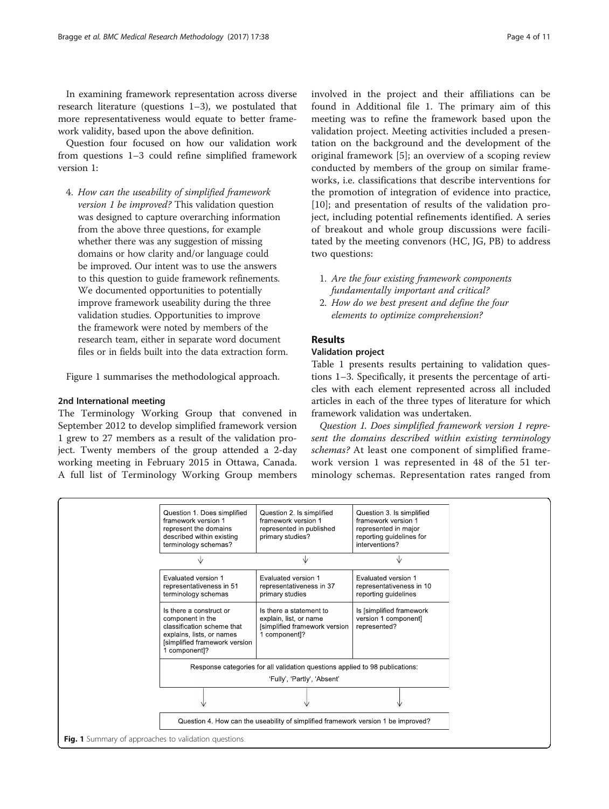In examining framework representation across diverse research literature (questions 1–3), we postulated that more representativeness would equate to better framework validity, based upon the above definition.

Question four focused on how our validation work from questions 1–3 could refine simplified framework version 1:

4. How can the useability of simplified framework version 1 be improved? This validation question was designed to capture overarching information from the above three questions, for example whether there was any suggestion of missing domains or how clarity and/or language could be improved. Our intent was to use the answers to this question to guide framework refinements. We documented opportunities to potentially improve framework useability during the three validation studies. Opportunities to improve the framework were noted by members of the research team, either in separate word document files or in fields built into the data extraction form.

Figure 1 summarises the methodological approach.

## 2nd International meeting

The Terminology Working Group that convened in September 2012 to develop simplified framework version 1 grew to 27 members as a result of the validation project. Twenty members of the group attended a 2-day working meeting in February 2015 in Ottawa, Canada. A full list of Terminology Working Group members involved in the project and their affiliations can be found in Additional file [1](#page-8-0). The primary aim of this meeting was to refine the framework based upon the validation project. Meeting activities included a presentation on the background and the development of the original framework [[5\]](#page-9-0); an overview of a scoping review conducted by members of the group on similar frameworks, i.e. classifications that describe interventions for the promotion of integration of evidence into practice, [[10](#page-9-0)]; and presentation of results of the validation project, including potential refinements identified. A series of breakout and whole group discussions were facilitated by the meeting convenors (HC, JG, PB) to address two questions:

- 1. Are the four existing framework components fundamentally important and critical?
- 2. How do we best present and define the four elements to optimize comprehension?

# Results

# Validation project

Table [1](#page-4-0) presents results pertaining to validation questions 1–3. Specifically, it presents the percentage of articles with each element represented across all included articles in each of the three types of literature for which framework validation was undertaken.

Question 1. Does simplified framework version 1 represent the domains described within existing terminology schemas? At least one component of simplified framework version 1 was represented in 48 of the 51 terminology schemas. Representation rates ranged from

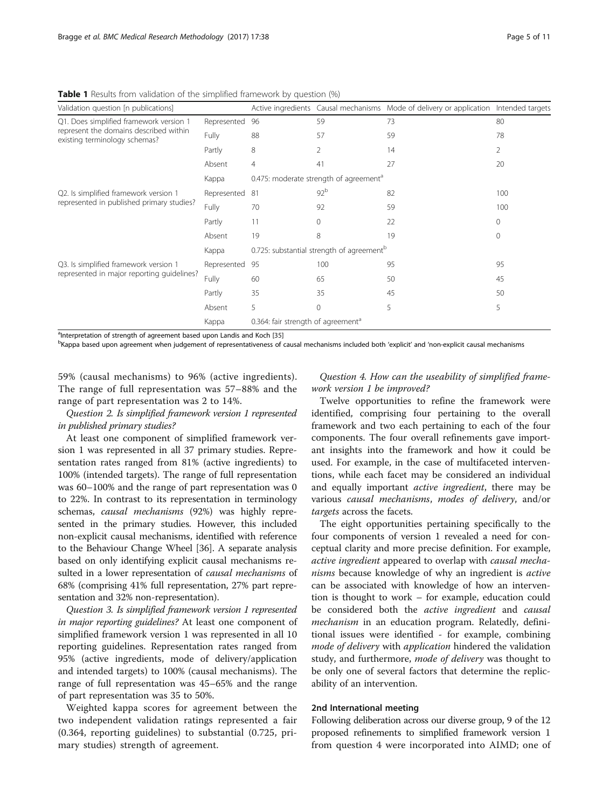| Validation question [n publications]                                                                               |                |                                                       |                 | Active ingredients Causal mechanisms Mode of delivery or application Intended targets |          |
|--------------------------------------------------------------------------------------------------------------------|----------------|-------------------------------------------------------|-----------------|---------------------------------------------------------------------------------------|----------|
| Q1. Does simplified framework version 1<br>represent the domains described within<br>existing terminology schemas? | Represented    | 96                                                    | 59              | 73                                                                                    | 80       |
|                                                                                                                    | Fully          | 88                                                    | 57              | 59                                                                                    | 78       |
|                                                                                                                    | Partly         | 8                                                     | $\overline{2}$  | 14                                                                                    | 2        |
|                                                                                                                    | Absent         | 4                                                     | 41              | 27                                                                                    | 20       |
|                                                                                                                    | Kappa          | 0.475: moderate strength of agreement <sup>a</sup>    |                 |                                                                                       |          |
| Q2. Is simplified framework version 1<br>represented in published primary studies?                                 | Represented 81 |                                                       | 92 <sup>b</sup> | 82                                                                                    | 100      |
|                                                                                                                    | Fully          | 70                                                    | 92              | 59                                                                                    | 100      |
|                                                                                                                    | Partly         | 11                                                    | $\mathbf{0}$    | 22                                                                                    | $\Omega$ |
|                                                                                                                    | Absent         | 19                                                    | 8               | 19                                                                                    | $\Omega$ |
|                                                                                                                    | Kappa          | 0.725: substantial strength of agreement <sup>o</sup> |                 |                                                                                       |          |
| Q3. Is simplified framework version 1<br>represented in major reporting guidelines?                                | Represented    | 95                                                    | 100             | 95                                                                                    | 95       |
|                                                                                                                    | Fully          | 60                                                    | 65              | 50                                                                                    | 45       |
|                                                                                                                    | Partly         | 35                                                    | 35              | 45                                                                                    | 50       |
|                                                                                                                    | Absent         | 5                                                     | $\Omega$        | 5                                                                                     | 5        |
|                                                                                                                    | Kappa          | 0.364: fair strength of agreement <sup>a</sup>        |                 |                                                                                       |          |

<span id="page-4-0"></span>Table 1 Results from validation of the simplified framework by question (%)

<sup>a</sup> Interpretation of strength of agreement based upon Landis and Koch [\[35\]](#page-10-0)<br><sup>b</sup>Kanna based upon agreement when judgement of representativeness of

<sup>b</sup>Kappa based upon agreement when judgement of representativeness of causal mechanisms included both 'explicit' and 'non-explicit causal mechanisms

59% (causal mechanisms) to 96% (active ingredients). The range of full representation was 57–88% and the range of part representation was 2 to 14%.

Question 2. Is simplified framework version 1 represented in published primary studies?

At least one component of simplified framework version 1 was represented in all 37 primary studies. Representation rates ranged from 81% (active ingredients) to 100% (intended targets). The range of full representation was 60–100% and the range of part representation was 0 to 22%. In contrast to its representation in terminology schemas, causal mechanisms (92%) was highly represented in the primary studies. However, this included non-explicit causal mechanisms, identified with reference to the Behaviour Change Wheel [[36](#page-10-0)]. A separate analysis based on only identifying explicit causal mechanisms resulted in a lower representation of causal mechanisms of 68% (comprising 41% full representation, 27% part representation and 32% non-representation).

Question 3. Is simplified framework version 1 represented in major reporting guidelines? At least one component of simplified framework version 1 was represented in all 10 reporting guidelines. Representation rates ranged from 95% (active ingredients, mode of delivery/application and intended targets) to 100% (causal mechanisms). The range of full representation was 45–65% and the range of part representation was 35 to 50%.

Weighted kappa scores for agreement between the two independent validation ratings represented a fair (0.364, reporting guidelines) to substantial (0.725, primary studies) strength of agreement.

Question 4. How can the useability of simplified framework version 1 be improved?

Twelve opportunities to refine the framework were identified, comprising four pertaining to the overall framework and two each pertaining to each of the four components. The four overall refinements gave important insights into the framework and how it could be used. For example, in the case of multifaceted interventions, while each facet may be considered an individual and equally important active ingredient, there may be various causal mechanisms, modes of delivery, and/or targets across the facets.

The eight opportunities pertaining specifically to the four components of version 1 revealed a need for conceptual clarity and more precise definition. For example, active ingredient appeared to overlap with causal mechanisms because knowledge of why an ingredient is *active* can be associated with knowledge of how an intervention is thought to work – for example, education could be considered both the *active ingredient* and *causal* mechanism in an education program. Relatedly, definitional issues were identified - for example, combining mode of delivery with application hindered the validation study, and furthermore, mode of delivery was thought to be only one of several factors that determine the replicability of an intervention.

## 2nd International meeting

Following deliberation across our diverse group, 9 of the 12 proposed refinements to simplified framework version 1 from question 4 were incorporated into AIMD; one of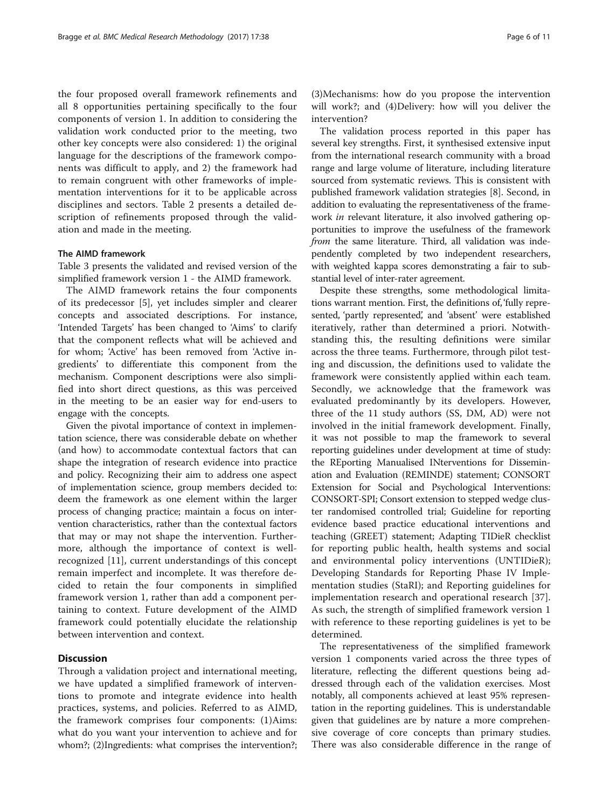the four proposed overall framework refinements and all 8 opportunities pertaining specifically to the four components of version 1. In addition to considering the validation work conducted prior to the meeting, two other key concepts were also considered: 1) the original language for the descriptions of the framework components was difficult to apply, and 2) the framework had to remain congruent with other frameworks of implementation interventions for it to be applicable across disciplines and sectors. Table [2](#page-6-0) presents a detailed description of refinements proposed through the validation and made in the meeting.

#### The AIMD framework

Table [3](#page-7-0) presents the validated and revised version of the simplified framework version 1 - the AIMD framework.

The AIMD framework retains the four components of its predecessor [\[5](#page-9-0)], yet includes simpler and clearer concepts and associated descriptions. For instance, 'Intended Targets' has been changed to 'Aims' to clarify that the component reflects what will be achieved and for whom; 'Active' has been removed from 'Active ingredients' to differentiate this component from the mechanism. Component descriptions were also simplified into short direct questions, as this was perceived in the meeting to be an easier way for end-users to engage with the concepts.

Given the pivotal importance of context in implementation science, there was considerable debate on whether (and how) to accommodate contextual factors that can shape the integration of research evidence into practice and policy. Recognizing their aim to address one aspect of implementation science, group members decided to: deem the framework as one element within the larger process of changing practice; maintain a focus on intervention characteristics, rather than the contextual factors that may or may not shape the intervention. Furthermore, although the importance of context is wellrecognized [\[11](#page-9-0)], current understandings of this concept remain imperfect and incomplete. It was therefore decided to retain the four components in simplified framework version 1, rather than add a component pertaining to context. Future development of the AIMD framework could potentially elucidate the relationship between intervention and context.

# Discussion

Through a validation project and international meeting, we have updated a simplified framework of interventions to promote and integrate evidence into health practices, systems, and policies. Referred to as AIMD, the framework comprises four components: (1)Aims: what do you want your intervention to achieve and for whom?; (2)Ingredients: what comprises the intervention?;

(3)Mechanisms: how do you propose the intervention will work?; and (4)Delivery: how will you deliver the intervention?

The validation process reported in this paper has several key strengths. First, it synthesised extensive input from the international research community with a broad range and large volume of literature, including literature sourced from systematic reviews. This is consistent with published framework validation strategies [\[8](#page-9-0)]. Second, in addition to evaluating the representativeness of the framework in relevant literature, it also involved gathering opportunities to improve the usefulness of the framework from the same literature. Third, all validation was independently completed by two independent researchers, with weighted kappa scores demonstrating a fair to substantial level of inter-rater agreement.

Despite these strengths, some methodological limitations warrant mention. First, the definitions of, 'fully represented, 'partly represented', and 'absent' were established iteratively, rather than determined a priori. Notwithstanding this, the resulting definitions were similar across the three teams. Furthermore, through pilot testing and discussion, the definitions used to validate the framework were consistently applied within each team. Secondly, we acknowledge that the framework was evaluated predominantly by its developers. However, three of the 11 study authors (SS, DM, AD) were not involved in the initial framework development. Finally, it was not possible to map the framework to several reporting guidelines under development at time of study: the REporting Manualised INterventions for Dissemination and Evaluation (REMINDE) statement; CONSORT Extension for Social and Psychological Interventions: CONSORT-SPI; Consort extension to stepped wedge cluster randomised controlled trial; Guideline for reporting evidence based practice educational interventions and teaching (GREET) statement; Adapting TIDieR checklist for reporting public health, health systems and social and environmental policy interventions (UNTIDieR); Developing Standards for Reporting Phase IV Implementation studies (StaRI); and Reporting guidelines for implementation research and operational research [\[37](#page-10-0)]. As such, the strength of simplified framework version 1 with reference to these reporting guidelines is yet to be determined.

The representativeness of the simplified framework version 1 components varied across the three types of literature, reflecting the different questions being addressed through each of the validation exercises. Most notably, all components achieved at least 95% representation in the reporting guidelines. This is understandable given that guidelines are by nature a more comprehensive coverage of core concepts than primary studies. There was also considerable difference in the range of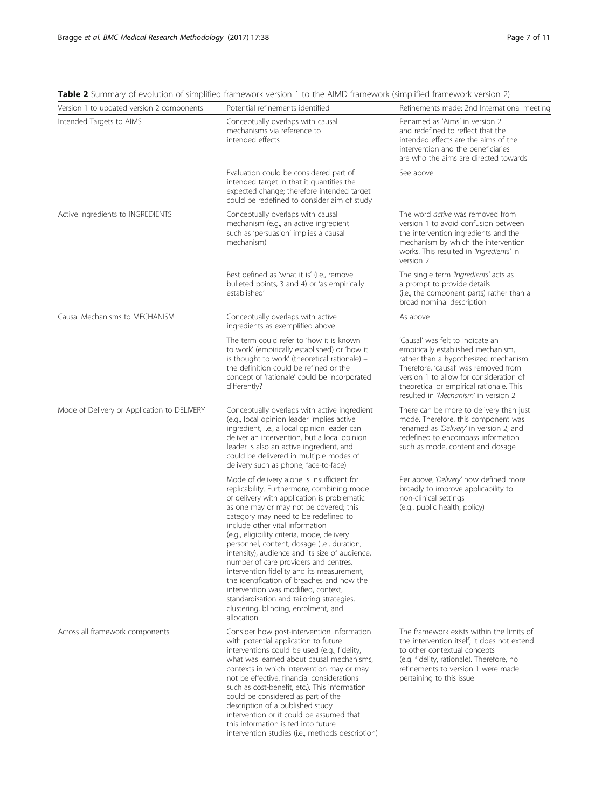| Version 1 to updated version 2 components   | Potential refinements identified                                                                                                                                                                                                                                                                                                                                                                                                                                                                                                                                                                                                                                                            | Refinements made: 2nd International meeting                                                                                                                                                                                                                                            |
|---------------------------------------------|---------------------------------------------------------------------------------------------------------------------------------------------------------------------------------------------------------------------------------------------------------------------------------------------------------------------------------------------------------------------------------------------------------------------------------------------------------------------------------------------------------------------------------------------------------------------------------------------------------------------------------------------------------------------------------------------|----------------------------------------------------------------------------------------------------------------------------------------------------------------------------------------------------------------------------------------------------------------------------------------|
| Intended Targets to AIMS                    | Conceptually overlaps with causal<br>mechanisms via reference to<br>intended effects                                                                                                                                                                                                                                                                                                                                                                                                                                                                                                                                                                                                        | Renamed as 'Aims' in version 2<br>and redefined to reflect that the<br>intended effects are the aims of the<br>intervention and the beneficiaries<br>are who the aims are directed towards                                                                                             |
|                                             | Evaluation could be considered part of<br>intended target in that it quantifies the<br>expected change; therefore intended target<br>could be redefined to consider aim of study                                                                                                                                                                                                                                                                                                                                                                                                                                                                                                            | See above                                                                                                                                                                                                                                                                              |
| Active Ingredients to INGREDIENTS           | Conceptually overlaps with causal<br>mechanism (e.g., an active ingredient<br>such as 'persuasion' implies a causal<br>mechanism)                                                                                                                                                                                                                                                                                                                                                                                                                                                                                                                                                           | The word <i>active</i> was removed from<br>version 1 to avoid confusion between<br>the intervention ingredients and the<br>mechanism by which the intervention<br>works. This resulted in 'Ingredients' in<br>version 2                                                                |
|                                             | Best defined as 'what it is' (i.e., remove<br>bulleted points, 3 and 4) or 'as empirically<br>established'                                                                                                                                                                                                                                                                                                                                                                                                                                                                                                                                                                                  | The single term 'Ingredients' acts as<br>a prompt to provide details<br>(i.e., the component parts) rather than a<br>broad nominal description                                                                                                                                         |
| Causal Mechanisms to MECHANISM              | Conceptually overlaps with active<br>ingredients as exemplified above                                                                                                                                                                                                                                                                                                                                                                                                                                                                                                                                                                                                                       | As above                                                                                                                                                                                                                                                                               |
|                                             | The term could refer to 'how it is known<br>to work' (empirically established) or 'how it<br>is thought to work' (theoretical rationale) –<br>the definition could be refined or the<br>concept of 'rationale' could be incorporated<br>differently?                                                                                                                                                                                                                                                                                                                                                                                                                                        | 'Causal' was felt to indicate an<br>empirically established mechanism,<br>rather than a hypothesized mechanism.<br>Therefore, 'causal' was removed from<br>version 1 to allow for consideration of<br>theoretical or empirical rationale. This<br>resulted in 'Mechanism' in version 2 |
| Mode of Delivery or Application to DELIVERY | Conceptually overlaps with active ingredient<br>(e.g., local opinion leader implies active<br>ingredient, i.e., a local opinion leader can<br>deliver an intervention, but a local opinion<br>leader is also an active ingredient, and<br>could be delivered in multiple modes of<br>delivery such as phone, face-to-face)                                                                                                                                                                                                                                                                                                                                                                  | There can be more to delivery than just<br>mode. Therefore, this component was<br>renamed as 'Delivery' in version 2, and<br>redefined to encompass information<br>such as mode, content and dosage                                                                                    |
|                                             | Mode of delivery alone is insufficient for<br>replicability. Furthermore, combining mode<br>of delivery with application is problematic<br>as one may or may not be covered; this<br>category may need to be redefined to<br>include other vital information<br>(e.g., eligibility criteria, mode, delivery<br>personnel, content, dosage (i.e., duration,<br>intensity), audience and its size of audience,<br>number of care providers and centres,<br>intervention fidelity and its measurement,<br>the identification of breaches and how the<br>intervention was modified, context,<br>standardisation and tailoring strategies,<br>clustering, blinding, enrolment, and<br>allocation | Per above, 'Delivery' now defined more<br>broadly to improve applicability to<br>non-clinical settings<br>(e.g., public health, policy)                                                                                                                                                |
| Across all framework components             | Consider how post-intervention information<br>with potential application to future<br>interventions could be used (e.g., fidelity,<br>what was learned about causal mechanisms.<br>contexts in which intervention may or may<br>not be effective, financial considerations<br>such as cost-benefit, etc.). This information<br>could be considered as part of the<br>description of a published study<br>intervention or it could be assumed that<br>this information is fed into future<br>intervention studies (i.e., methods description)                                                                                                                                                | The framework exists within the limits of<br>the intervention itself: it does not extend<br>to other contextual concepts<br>(e.g. fidelity, rationale). Therefore, no<br>refinements to version 1 were made<br>pertaining to this issue                                                |

<span id="page-6-0"></span>Table 2 Summary of evolution of simplified framework version 1 to the AIMD framework (simplified framework version 2)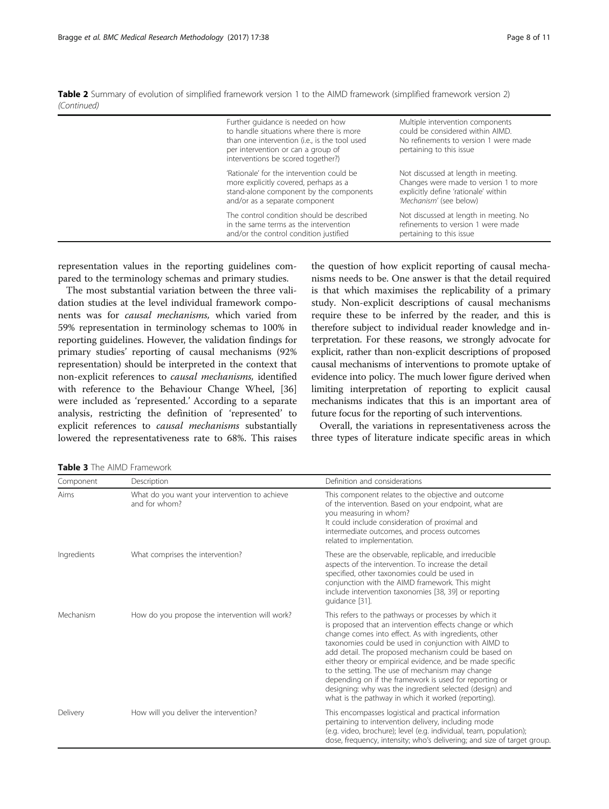| Further guidance is needed on how<br>to handle situations where there is more<br>than one intervention (i.e., is the tool used<br>per intervention or can a group of<br>interventions be scored together?) | Multiple intervention components<br>could be considered within AIMD.<br>No refinements to version 1 were made<br>pertaining to this issue        |
|------------------------------------------------------------------------------------------------------------------------------------------------------------------------------------------------------------|--------------------------------------------------------------------------------------------------------------------------------------------------|
| 'Rationale' for the intervention could be<br>more explicitly covered, perhaps as a<br>stand-alone component by the components<br>and/or as a separate component                                            | Not discussed at length in meeting.<br>Changes were made to version 1 to more<br>explicitly define 'rationale' within<br>'Mechanism' (see below) |
| The control condition should be described<br>in the same terms as the intervention<br>and/or the control condition justified                                                                               | Not discussed at length in meeting. No<br>refinements to version 1 were made<br>pertaining to this issue                                         |

<span id="page-7-0"></span>Table 2 Summary of evolution of simplified framework version 1 to the AIMD framework (simplified framework version 2) (Continued)

representation values in the reporting guidelines compared to the terminology schemas and primary studies.

The most substantial variation between the three validation studies at the level individual framework components was for causal mechanisms, which varied from 59% representation in terminology schemas to 100% in reporting guidelines. However, the validation findings for primary studies' reporting of causal mechanisms (92% representation) should be interpreted in the context that non-explicit references to causal mechanisms, identified with reference to the Behaviour Change Wheel, [[36](#page-10-0)] were included as 'represented.' According to a separate analysis, restricting the definition of 'represented' to explicit references to causal mechanisms substantially lowered the representativeness rate to 68%. This raises

the question of how explicit reporting of causal mechanisms needs to be. One answer is that the detail required is that which maximises the replicability of a primary study. Non-explicit descriptions of causal mechanisms require these to be inferred by the reader, and this is therefore subject to individual reader knowledge and interpretation. For these reasons, we strongly advocate for explicit, rather than non-explicit descriptions of proposed causal mechanisms of interventions to promote uptake of evidence into policy. The much lower figure derived when limiting interpretation of reporting to explicit causal mechanisms indicates that this is an important area of future focus for the reporting of such interventions.

Overall, the variations in representativeness across the three types of literature indicate specific areas in which

| Component   | Description                                                    | Definition and considerations                                                                                                                                                                                                                                                                                                                                                                                                                                                                                                                                                        |
|-------------|----------------------------------------------------------------|--------------------------------------------------------------------------------------------------------------------------------------------------------------------------------------------------------------------------------------------------------------------------------------------------------------------------------------------------------------------------------------------------------------------------------------------------------------------------------------------------------------------------------------------------------------------------------------|
| Aims        | What do you want your intervention to achieve<br>and for whom? | This component relates to the objective and outcome<br>of the intervention. Based on your endpoint, what are<br>you measuring in whom?<br>It could include consideration of proximal and<br>intermediate outcomes, and process outcomes<br>related to implementation.                                                                                                                                                                                                                                                                                                                |
| Ingredients | What comprises the intervention?                               | These are the observable, replicable, and irreducible<br>aspects of the intervention. To increase the detail<br>specified, other taxonomies could be used in<br>conjunction with the AIMD framework. This might<br>include intervention taxonomies [38, 39] or reporting<br>quidance [31].                                                                                                                                                                                                                                                                                           |
| Mechanism   | How do you propose the intervention will work?                 | This refers to the pathways or processes by which it<br>is proposed that an intervention effects change or which<br>change comes into effect. As with ingredients, other<br>taxonomies could be used in conjunction with AIMD to<br>add detail. The proposed mechanism could be based on<br>either theory or empirical evidence, and be made specific<br>to the setting. The use of mechanism may change<br>depending on if the framework is used for reporting or<br>designing: why was the ingredient selected (design) and<br>what is the pathway in which it worked (reporting). |
| Delivery    | How will you deliver the intervention?                         | This encompasses logistical and practical information<br>pertaining to intervention delivery, including mode<br>(e.g. video, brochure); level (e.g. individual, team, population);<br>dose, frequency, intensity; who's delivering; and size of target group.                                                                                                                                                                                                                                                                                                                        |

Table 3 The AIMD Framework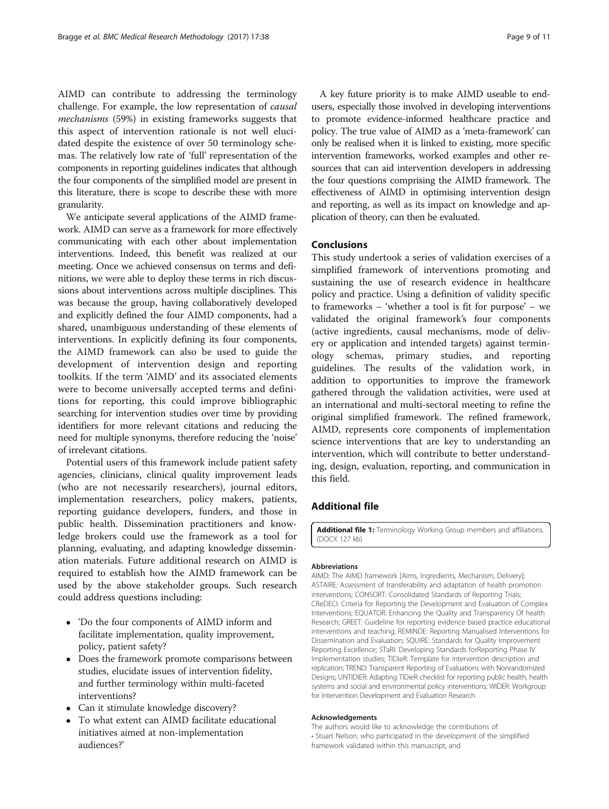<span id="page-8-0"></span>AIMD can contribute to addressing the terminology challenge. For example, the low representation of causal mechanisms (59%) in existing frameworks suggests that this aspect of intervention rationale is not well elucidated despite the existence of over 50 terminology schemas. The relatively low rate of 'full' representation of the components in reporting guidelines indicates that although the four components of the simplified model are present in this literature, there is scope to describe these with more granularity.

We anticipate several applications of the AIMD framework. AIMD can serve as a framework for more effectively communicating with each other about implementation interventions. Indeed, this benefit was realized at our meeting. Once we achieved consensus on terms and definitions, we were able to deploy these terms in rich discussions about interventions across multiple disciplines. This was because the group, having collaboratively developed and explicitly defined the four AIMD components, had a shared, unambiguous understanding of these elements of interventions. In explicitly defining its four components, the AIMD framework can also be used to guide the development of intervention design and reporting toolkits. If the term 'AIMD' and its associated elements were to become universally accepted terms and definitions for reporting, this could improve bibliographic searching for intervention studies over time by providing identifiers for more relevant citations and reducing the need for multiple synonyms, therefore reducing the 'noise' of irrelevant citations.

Potential users of this framework include patient safety agencies, clinicians, clinical quality improvement leads (who are not necessarily researchers), journal editors, implementation researchers, policy makers, patients, reporting guidance developers, funders, and those in public health. Dissemination practitioners and knowledge brokers could use the framework as a tool for planning, evaluating, and adapting knowledge dissemination materials. Future additional research on AIMD is required to establish how the AIMD framework can be used by the above stakeholder groups. Such research could address questions including:

- 'Do the four components of AIMD inform and facilitate implementation, quality improvement, policy, patient safety?
- Does the framework promote comparisons between studies, elucidate issues of intervention fidelity, and further terminology within multi-faceted interventions?
- Can it stimulate knowledge discovery?
- To what extent can AIMD facilitate educational initiatives aimed at non-implementation audiences?'

A key future priority is to make AIMD useable to endusers, especially those involved in developing interventions to promote evidence-informed healthcare practice and policy. The true value of AIMD as a 'meta-framework' can only be realised when it is linked to existing, more specific intervention frameworks, worked examples and other resources that can aid intervention developers in addressing the four questions comprising the AIMD framework. The effectiveness of AIMD in optimising intervention design and reporting, as well as its impact on knowledge and application of theory, can then be evaluated.

## **Conclusions**

This study undertook a series of validation exercises of a simplified framework of interventions promoting and sustaining the use of research evidence in healthcare policy and practice. Using a definition of validity specific to frameworks – 'whether a tool is fit for purpose' – we validated the original framework's four components (active ingredients, causal mechanisms, mode of delivery or application and intended targets) against terminology schemas, primary studies, and reporting guidelines. The results of the validation work, in addition to opportunities to improve the framework gathered through the validation activities, were used at an international and multi-sectoral meeting to refine the original simplified framework. The refined framework, AIMD, represents core components of implementation science interventions that are key to understanding an intervention, which will contribute to better understanding, design, evaluation, reporting, and communication in this field.

# Additional file

[Additional file 1:](dx.doi.org/10.1186/s12874-017-0314-8) Terminology Working Group members and affiliations. (DOCX 127 kb)

#### Abbreviations

AIMD: The AIMD framework [Aims, Ingredients, Mechanism, Delivery]; ASTAIRE: Assessment of transferability and adaptation of health promotion interventions; CONSORT: Consolidated Standards of Reporting Trials; CReDECI: Criteria for Reporting the Development and Evaluation of Complex Interventions; EQUATOR: Enhancing the Quality and Transparency Of health Research; GREET: Guideline for reporting evidence based practice educational interventions and teaching; REMINDE: Reporting Manualised Interventions for Dissemination and Evaluation; SQUIRE: Standards for Quality Improvement Reporting Excellence; STaRI: Developing Standards forReporting Phase IV Implementation studies; TIDieR: Template for intervention description and replication; TREND: Transparent Reporting of Evaluations with Nonrandomized Designs; UNTIDIER: Adapting TIDieR checklist for reporting public health, health systems and social and environmental policy interventions; WIDER: Workgroup for Intervention Development and Evaluation Research

#### Acknowledgements

The authors would like to acknowledge the contributions of: • Stuart Nelson, who participated in the development of the simplified framework validated within this manuscript; and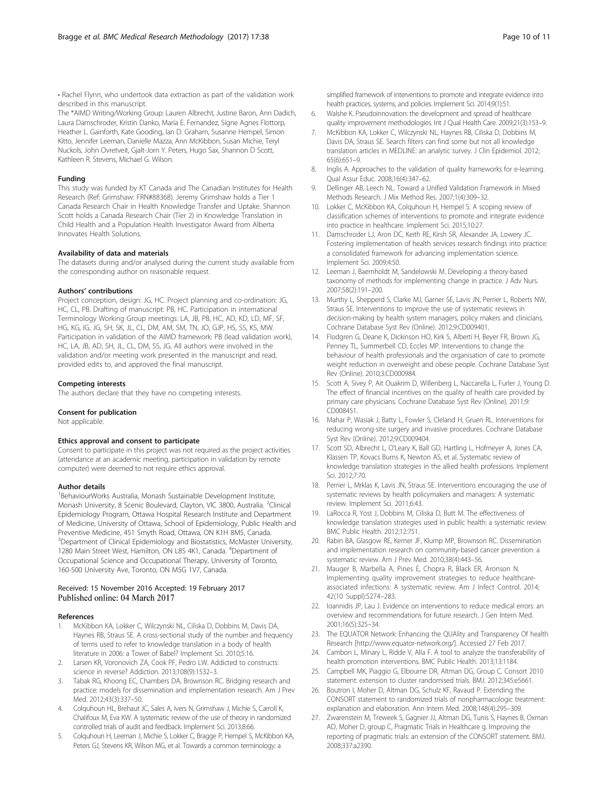<span id="page-9-0"></span>• Rachel Flynn, who undertook data extraction as part of the validation work described in this manuscript.

The \*AIMD Writing/Working Group: Lauren Albrecht, Justine Baron, Ann Dadich, Laura Damschroder, Kristin Danko, Maria E. Fernandez, Signe Agnes Flottorp, Heather L. Gainforth, Kate Gooding, Ian D. Graham, Susanne Hempel, Simon Kitto, Jennifer Leeman, Danielle Mazza, Ann McKibbon, Susan Michie, Teryl Nuckols, John Ovretveit, Gjalt-Jorn Y. Peters, Hugo Sax, Shannon D Scott, Kathleen R. Stevens, Michael G. Wilson.

## Funding

This study was funded by KT Canada and The Canadian Institutes for Health Research (Ref: Grimshaw: FRN#88368). Jeremy Grimshaw holds a Tier 1 Canada Research Chair in Health Knowledge Transfer and Uptake. Shannon Scott holds a Canada Research Chair (Tier 2) in Knowledge Translation in Child Health and a Population Health Investigator Award from Alberta Innovates Health Solutions.

#### Availability of data and materials

The datasets during and/or analysed during the current study available from the corresponding author on reasonable request.

#### Authors' contributions

Project conception, design: JG, HC. Project planning and co-ordination: JG, HC, CL, PB. Drafting of manuscript: PB, HC. Participation in international Terminology Working Group meetings: LA, JB, PB, HC, AD, KD, LD, MF, SF, HG, KG, IG, JG, SH, SK, JL, CL, DM, AM, SM, TN, JO, GJP, HS, SS, KS, MW. Participation in validation of the AIMD framework: PB (lead validation work), HC, LA, JB, AD, SH, JL, CL, DM, SS, JG. All authors were involved in the validation and/or meeting work presented in the manuscript and read, provided edits to, and approved the final manuscript.

#### Competing interests

The authors declare that they have no competing interests.

### Consent for publication

Not applicable.

#### Ethics approval and consent to participate

Consent to participate in this project was not required as the project activities (attendance at an academic meeting, participation in validation by remote computer) were deemed to not require ethics approval.

#### Author details

<sup>1</sup> BehaviourWorks Australia, Monash Sustainable Development Institute, Monash University, 8 Scenic Boulevard, Clayton, VIC 3800, Australia. <sup>2</sup>Clinical Epidemiology Program, Ottawa Hospital Research Institute and Department of Medicine, University of Ottawa, School of Epidemiology, Public Health and Preventive Medicine, 451 Smyth Road, Ottawa, ON K1H 8M5, Canada. <sup>3</sup>Department of Clinical Epidemiology and Biostatistics, McMaster University, 1280 Main Street West, Hamilton, ON L8S 4K1, Canada. <sup>4</sup>Department of Occupational Science and Occupational Therapy, University of Toronto, 160-500 University Ave, Toronto, ON M5G 1V7, Canada.

## Received: 15 November 2016 Accepted: 19 February 2017 Published online: 04 March 2017

#### References

- 1. McKibbon KA, Lokker C, Wilczynski NL, Ciliska D, Dobbins M, Davis DA, Haynes RB, Straus SE. A cross-sectional study of the number and frequency of terms used to refer to knowledge translation in a body of health literature in 2006: a Tower of Babel? Implement Sci. 2010;5:16.
- Larsen KR, Voronovich ZA, Cook PF, Pedro LW. Addicted to constructs: science in reverse? Addiction. 2013;108(9):1532–3.
- 3. Tabak RG, Khoong EC, Chambers DA, Brownson RC. Bridging research and practice: models for dissemination and implementation research. Am J Prev Med. 2012;43(3):337–50.
- 4. Colquhoun HL, Brehaut JC, Sales A, Ivers N, Grimshaw J, Michie S, Carroll K, Chalifoux M, Eva KW. A systematic review of the use of theory in randomized controlled trials of audit and feedback. Implement Sci. 2013;8:66.
- 5. Colquhoun H, Leeman J, Michie S, Lokker C, Bragge P, Hempel S, McKibbon KA, Peters GJ, Stevens KR, Wilson MG, et al. Towards a common terminology: a

simplified framework of interventions to promote and integrate evidence into health practices, systems, and policies. Implement Sci. 2014;9(1):51.

- 6. Walshe K. Pseudoinnovation: the development and spread of healthcare quality improvement methodologies. Int J Qual Health Care. 2009;21(3):153–9.
- 7. McKibbon KA, Lokker C, Wilczynski NL, Haynes RB, Ciliska D, Dobbins M, Davis DA, Straus SE. Search filters can find some but not all knowledge translation articles in MEDLINE: an analytic survey. J Clin Epidemiol. 2012; 65(6):651–9.
- 8. Inglis A. Approaches to the validation of quality frameworks for e-learning. Qual Assur Educ. 2008;16(4):347–62.
- 9. Dellinger AB, Leech NL. Toward a Unified Validation Framework in Mixed Methods Research. J Mix Method Res. 2007;1(4):309–32.
- 10. Lokker C, McKibbon KA, Colquhoun H, Hempel S. A scoping review of classification schemes of interventions to promote and integrate evidence into practice in healthcare. Implement Sci. 2015;10:27.
- 11. Damschroder LJ, Aron DC, Keith RE, Kirsh SR, Alexander JA, Lowery JC. Fostering implementation of health services research findings into practice: a consolidated framework for advancing implementation science. Implement Sci. 2009;4:50.
- 12. Leeman J, Baernholdt M, Sandelowski M. Developing a theory-based taxonomy of methods for implementing change in practice. J Adv Nurs. 2007;58(2):191–200.
- 13. Murthy L, Shepperd S, Clarke MJ, Garner SE, Lavis JN, Perrier L, Roberts NW, Straus SE. Interventions to improve the use of systematic reviews in decision-making by health system managers, policy makers and clinicians. Cochrane Database Syst Rev (Online). 2012;9:CD009401.
- 14. Flodgren G, Deane K, Dickinson HO, Kirk S, Alberti H, Beyer FR, Brown JG, Penney TL, Summerbell CD, Eccles MP. Interventions to change the behaviour of health professionals and the organisation of care to promote weight reduction in overweight and obese people. Cochrane Database Syst Rev (Online). 2010;3:CD000984.
- 15. Scott A, Sivey P, Ait Ouakrim D, Willenberg L, Naccarella L, Furler J, Young D. The effect of financial incentives on the quality of health care provided by primary care physicians. Cochrane Database Syst Rev (Online). 2011;9: CD008451.
- 16. Mahar P, Wasiak J, Batty L, Fowler S, Cleland H, Gruen RL. Interventions for reducing wrong-site surgery and invasive procedures. Cochrane Database Syst Rev (Online). 2012;9:CD009404.
- 17. Scott SD, Albrecht L, O'Leary K, Ball GD, Hartling L, Hofmeyer A, Jones CA, Klassen TP, Kovacs Burns K, Newton AS, et al. Systematic review of knowledge translation strategies in the allied health professions. Implement Sci. 2012;7:70.
- 18. Perrier L, Mrklas K, Lavis JN, Straus SE. Interventions encouraging the use of systematic reviews by health policymakers and managers: A systematic review. Implement Sci. 2011;6:43.
- 19. LaRocca R, Yost J, Dobbins M, Ciliska D, Butt M. The effectiveness of knowledge translation strategies used in public health: a systematic review. BMC Public Health. 2012;12:751.
- 20. Rabin BA, Glasgow RE, Kerner JF, Klump MP, Brownson RC. Dissemination and implementation research on community-based cancer prevention: a systematic review. Am J Prev Med. 2010;38(4):443–56.
- 21. Mauger B, Marbella A, Pines E, Chopra R, Black ER, Aronson N. Implementing quality improvement strategies to reduce healthcareassociated infections: A systematic review. Am J Infect Control. 2014; 42(10 Suppl):S274–283.
- 22. Ioannidis JP, Lau J. Evidence on interventions to reduce medical errors: an overview and recommendations for future research. J Gen Intern Med. 2001;16(5):325–34.
- 23. The EQUATOR Network: Enhancing the QUAlity and Transparency Of health Research [<http://www.equator-network.org/>]. Accessed 27 Feb 2017.
- 24. Cambon L, Minary L, Ridde V, Alla F. A tool to analyze the transferability of health promotion interventions. BMC Public Health. 2013;13:1184.
- 25. Campbell MK, Piaggio G, Elbourne DR, Altman DG, Group C. Consort 2010 statement: extension to cluster randomised trials. BMJ. 2012;345:e5661.
- 26. Boutron I, Moher D, Altman DG, Schulz KF, Ravaud P. Extending the CONSORT statement to randomized trials of nonpharmacologic treatment: explanation and elaboration. Ann Intern Med. 2008;148(4):295–309.
- 27. Zwarenstein M, Treweek S, Gagnier JJ, Altman DG, Tunis S, Haynes B, Oxman AD, Moher D, group C, Pragmatic Trials in Healthcare g. Improving the reporting of pragmatic trials: an extension of the CONSORT statement. BMJ. 2008;337:a2390.